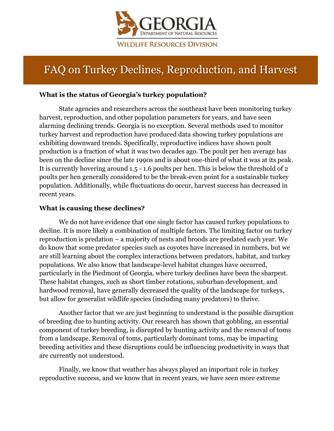

# FAQ on Turkey Declines, Reproduction, and Harvest

## **What is the status of Georgia's turkey population?**

State agencies and researchers across the southeast have been monitoring turkey harvest, reproduction, and other population parameters for years, and have seen alarming declining trends. Georgia is no exception. Several methods used to monitor turkey harvest and reproduction have produced data showing turkey populations are exhibiting downward trends. Specifically, reproductive indices have shown poult production is a fraction of what it was two decades ago. The poult per hen average has been on the decline since the late 1990s and is about one-third of what it was at its peak. It is currently hovering around 1.5 - 1.6 poults per hen. This is below the threshold of 2 poults per hen generally considered to be the break-even point for a sustainable turkey population. Additionally, while fluctuations do occur, harvest success has decreased in recent years.

#### **What is causing these declines?**

We do not have evidence that one single factor has caused turkey populations to decline. It is more likely a combination of multiple factors. The limiting factor on turkey reproduction is predation – a majority of nests and broods are predated each year. We do know that some predator species such as coyotes have increased in numbers, but we are still learning about the complex interactions between predators, habitat, and turkey populations. We also know that landscape-level habitat changes have occurred, particularly in the Piedmont of Georgia, where turkey declines have been the sharpest. These habitat changes, such as short timber rotations, suburban development, and hardwood removal, have generally decreased the quality of the landscape for turkeys, but allow for generalist wildlife species (including many predators) to thrive.

Another factor that we are just beginning to understand is the possible disruption of breeding due to hunting activity. Our research has shown that gobbling, an essential component of turkey breeding, is disrupted by hunting activity and the removal of toms from a landscape. Removal of toms, particularly dominant toms, may be impacting breeding activities and these disruptions could be influencing productivity in ways that are currently not understood.

Finally, we know that weather has always played an important role in turkey reproductive success, and we know that in recent years, we have seen more extreme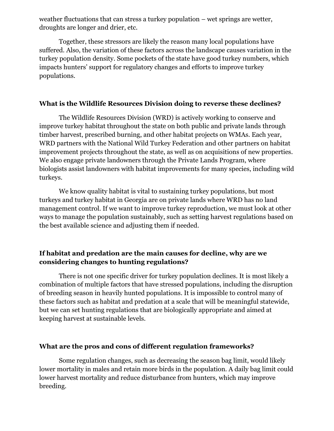weather fluctuations that can stress a turkey population – wet springs are wetter, droughts are longer and drier, etc.

Together, these stressors are likely the reason many local populations have suffered. Also, the variation of these factors across the landscape causes variation in the turkey population density. Some pockets of the state have good turkey numbers, which impacts hunters' support for regulatory changes and efforts to improve turkey populations.

#### **What is the Wildlife Resources Division doing to reverse these declines?**

The Wildlife Resources Division (WRD) is actively working to conserve and improve turkey habitat throughout the state on both public and private lands through timber harvest, prescribed burning, and other habitat projects on WMAs. Each year, WRD partners with the National Wild Turkey Federation and other partners on habitat improvement projects throughout the state, as well as on acquisitions of new properties. We also engage private landowners through the Private Lands Program, where biologists assist landowners with habitat improvements for many species, including wild turkeys.

We know quality habitat is vital to sustaining turkey populations, but most turkeys and turkey habitat in Georgia are on private lands where WRD has no land management control. If we want to improve turkey reproduction, we must look at other ways to manage the population sustainably, such as setting harvest regulations based on the best available science and adjusting them if needed.

## **If habitat and predation are the main causes for decline, why are we considering changes to hunting regulations?**

There is not one specific driver for turkey population declines. It is most likely a combination of multiple factors that have stressed populations, including the disruption of breeding season in heavily hunted populations. It is impossible to control many of these factors such as habitat and predation at a scale that will be meaningful statewide, but we can set hunting regulations that are biologically appropriate and aimed at keeping harvest at sustainable levels.

#### **What are the pros and cons of different regulation frameworks?**

Some regulation changes, such as decreasing the season bag limit, would likely lower mortality in males and retain more birds in the population. A daily bag limit could lower harvest mortality and reduce disturbance from hunters, which may improve breeding.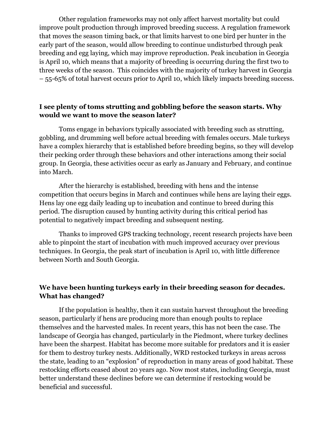Other regulation frameworks may not only affect harvest mortality but could improve poult production through improved breeding success. A regulation framework that moves the season timing back, or that limits harvest to one bird per hunter in the early part of the season, would allow breeding to continue undisturbed through peak breeding and egg laying, which may improve reproduction. Peak incubation in Georgia is April 10, which means that a majority of breeding is occurring during the first two to three weeks of the season. This coincides with the majority of turkey harvest in Georgia – 55-65% of total harvest occurs prior to April 10, which likely impacts breeding success.

## **I see plenty of toms strutting and gobbling before the season starts. Why would we want to move the season later?**

Toms engage in behaviors typically associated with breeding such as strutting, gobbling, and drumming well before actual breeding with females occurs. Male turkeys have a complex hierarchy that is established before breeding begins, so they will develop their pecking order through these behaviors and other interactions among their social group. In Georgia, these activities occur as early as January and February, and continue into March.

After the hierarchy is established, breeding with hens and the intense competition that occurs begins in March and continues while hens are laying their eggs. Hens lay one egg daily leading up to incubation and continue to breed during this period. The disruption caused by hunting activity during this critical period has potential to negatively impact breeding and subsequent nesting.

Thanks to improved GPS tracking technology, recent research projects have been able to pinpoint the start of incubation with much improved accuracy over previous techniques. In Georgia, the peak start of incubation is April 10, with little difference between North and South Georgia.

## **We have been hunting turkeys early in their breeding season for decades. What has changed?**

If the population is healthy, then it can sustain harvest throughout the breeding season, particularly if hens are producing more than enough poults to replace themselves and the harvested males. In recent years, this has not been the case. The landscape of Georgia has changed, particularly in the Piedmont, where turkey declines have been the sharpest. Habitat has become more suitable for predators and it is easier for them to destroy turkey nests. Additionally, WRD restocked turkeys in areas across the state, leading to an "explosion" of reproduction in many areas of good habitat. These restocking efforts ceased about 20 years ago. Now most states, including Georgia, must better understand these declines before we can determine if restocking would be beneficial and successful.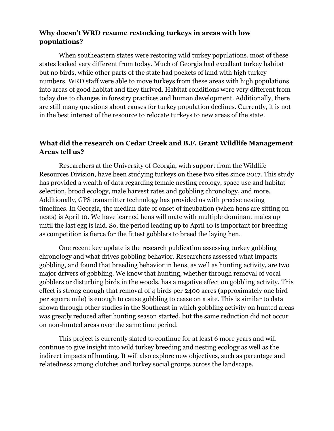## **Why doesn't WRD resume restocking turkeys in areas with low populations?**

When southeastern states were restoring wild turkey populations, most of these states looked very different from today. Much of Georgia had excellent turkey habitat but no birds, while other parts of the state had pockets of land with high turkey numbers. WRD staff were able to move turkeys from these areas with high populations into areas of good habitat and they thrived. Habitat conditions were very different from today due to changes in forestry practices and human development. Additionally, there are still many questions about causes for turkey population declines. Currently, it is not in the best interest of the resource to relocate turkeys to new areas of the state.

## **What did the research on Cedar Creek and B.F. Grant Wildlife Management Areas tell us?**

Researchers at the University of Georgia, with support from the Wildlife Resources Division, have been studying turkeys on these two sites since 2017. This study has provided a wealth of data regarding female nesting ecology, space use and habitat selection, brood ecology, male harvest rates and gobbling chronology, and more. Additionally, GPS transmitter technology has provided us with precise nesting timelines. In Georgia, the median date of onset of incubation (when hens are sitting on nests) is April 10. We have learned hens will mate with multiple dominant males up until the last egg is laid. So, the period leading up to April 10 is important for breeding as competition is fierce for the fittest gobblers to breed the laying hen.

One recent key update is the research publication assessing turkey gobbling chronology and what drives gobbling behavior. Researchers assessed what impacts gobbling, and found that breeding behavior in hens, as well as hunting activity, are two major drivers of gobbling. We know that hunting, whether through removal of vocal gobblers or disturbing birds in the woods, has a negative effect on gobbling activity. This effect is strong enough that removal of 4 birds per 2400 acres (approximately one bird per square mile) is enough to cause gobbling to cease on a site. This is similar to data shown through other studies in the Southeast in which gobbling activity on hunted areas was greatly reduced after hunting season started, but the same reduction did not occur on non-hunted areas over the same time period.

This project is currently slated to continue for at least 6 more years and will continue to give insight into wild turkey breeding and nesting ecology as well as the indirect impacts of hunting. It will also explore new objectives, such as parentage and relatedness among clutches and turkey social groups across the landscape.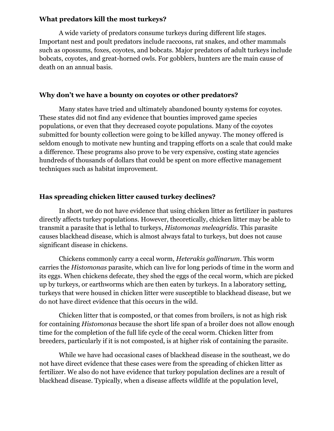#### **What predators kill the most turkeys?**

A wide variety of predators consume turkeys during different life stages. Important nest and poult predators include raccoons, rat snakes, and other mammals such as opossums, foxes, coyotes, and bobcats. Major predators of adult turkeys include bobcats, coyotes, and great-horned owls. For gobblers, hunters are the main cause of death on an annual basis.

#### **Why don't we have a bounty on coyotes or other predators?**

Many states have tried and ultimately abandoned bounty systems for coyotes. These states did not find any evidence that bounties improved game species populations, or even that they decreased coyote populations. Many of the coyotes submitted for bounty collection were going to be killed anyway. The money offered is seldom enough to motivate new hunting and trapping efforts on a scale that could make a difference. These programs also prove to be very expensive, costing state agencies hundreds of thousands of dollars that could be spent on more effective management techniques such as habitat improvement.

## **Has spreading chicken litter caused turkey declines?**

In short, we do not have evidence that using chicken litter as fertilizer in pastures directly affects turkey populations. However, theoretically, chicken litter may be able to transmit a parasite that is lethal to turkeys, *Histomonas meleagridis*. This parasite causes blackhead disease, which is almost always fatal to turkeys, but does not cause significant disease in chickens.

Chickens commonly carry a cecal worm, *Heterakis gallinarum*. This worm carries the *Histomonas* parasite, which can live for long periods of time in the worm and its eggs. When chickens defecate, they shed the eggs of the cecal worm, which are picked up by turkeys, or earthworms which are then eaten by turkeys. In a laboratory setting, turkeys that were housed in chicken litter were susceptible to blackhead disease, but we do not have direct evidence that this occurs in the wild.

Chicken litter that is composted, or that comes from broilers, is not as high risk for containing *Histomonas* because the short life span of a broiler does not allow enough time for the completion of the full life cycle of the cecal worm. Chicken litter from breeders, particularly if it is not composted, is at higher risk of containing the parasite.

While we have had occasional cases of blackhead disease in the southeast, we do not have direct evidence that these cases were from the spreading of chicken litter as fertilizer. We also do not have evidence that turkey population declines are a result of blackhead disease. Typically, when a disease affects wildlife at the population level,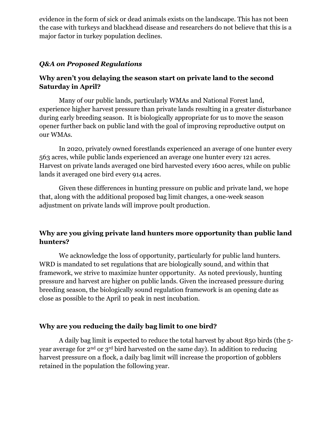evidence in the form of sick or dead animals exists on the landscape. This has not been the case with turkeys and blackhead disease and researchers do not believe that this is a major factor in turkey population declines.

## *Q&A on Proposed Regulations*

## **Why aren't you delaying the season start on private land to the second Saturday in April?**

Many of our public lands, particularly WMAs and National Forest land, experience higher harvest pressure than private lands resulting in a greater disturbance during early breeding season. It is biologically appropriate for us to move the season opener further back on public land with the goal of improving reproductive output on our WMAs.

In 2020, privately owned forestlands experienced an average of one hunter every 563 acres, while public lands experienced an average one hunter every 121 acres. Harvest on private lands averaged one bird harvested every 1600 acres, while on public lands it averaged one bird every 914 acres.

Given these differences in hunting pressure on public and private land, we hope that, along with the additional proposed bag limit changes, a one-week season adjustment on private lands will improve poult production.

# **Why are you giving private land hunters more opportunity than public land hunters?**

We acknowledge the loss of opportunity, particularly for public land hunters. WRD is mandated to set regulations that are biologically sound, and within that framework, we strive to maximize hunter opportunity. As noted previously, hunting pressure and harvest are higher on public lands. Given the increased pressure during breeding season, the biologically sound regulation framework is an opening date as close as possible to the April 10 peak in nest incubation.

## **Why are you reducing the daily bag limit to one bird?**

A daily bag limit is expected to reduce the total harvest by about 850 birds (the 5 year average for 2nd or 3rd bird harvested on the same day). In addition to reducing harvest pressure on a flock, a daily bag limit will increase the proportion of gobblers retained in the population the following year.